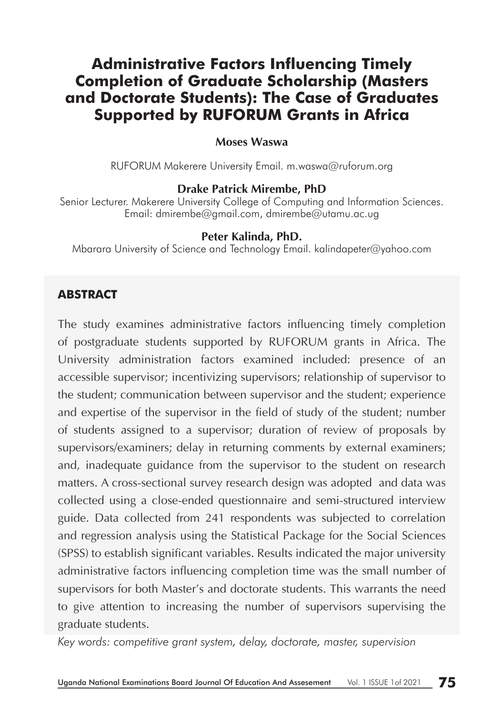# **Administrative Factors Influencing Timely Completion of Graduate Scholarship (Masters and Doctorate Students): The Case of Graduates Supported by RUFORUM Grants in Africa**

#### **Moses Waswa**

RUFORUM Makerere University Email. m.waswa@ruforum.org

#### **Drake Patrick Mirembe, PhD**

Senior Lecturer. Makerere University College of Computing and Information Sciences. Email: dmirembe@gmail.com, dmirembe@utamu.ac.ug

#### **Peter Kalinda, PhD.**

Mbarara University of Science and Technology Email. kalindapeter@yahoo.com

### **ABSTRACT**

The study examines administrative factors influencing timely completion of postgraduate students supported by RUFORUM grants in Africa. The University administration factors examined included: presence of an accessible supervisor; incentivizing supervisors; relationship of supervisor to the student; communication between supervisor and the student; experience and expertise of the supervisor in the field of study of the student; number of students assigned to a supervisor; duration of review of proposals by supervisors/examiners; delay in returning comments by external examiners; and, inadequate guidance from the supervisor to the student on research matters. A cross-sectional survey research design was adopted and data was collected using a close-ended questionnaire and semi-structured interview guide. Data collected from 241 respondents was subjected to correlation and regression analysis using the Statistical Package for the Social Sciences (SPSS) to establish significant variables. Results indicated the major university administrative factors influencing completion time was the small number of supervisors for both Master's and doctorate students. This warrants the need to give attention to increasing the number of supervisors supervising the graduate students.

*Key words: competitive grant system, delay, doctorate, master, supervision*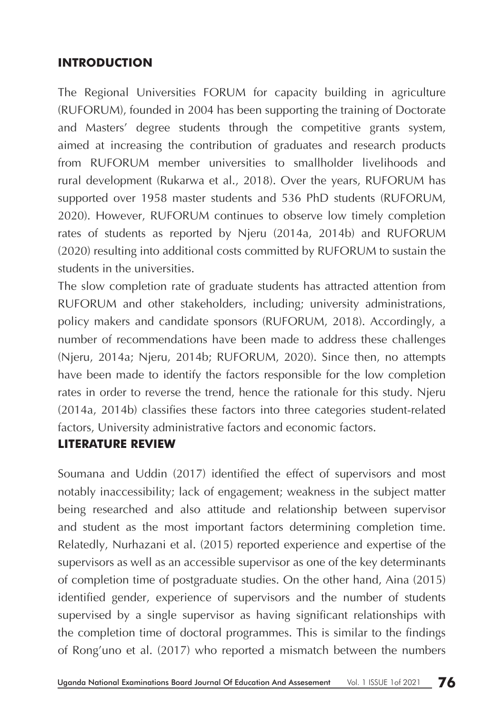## **INTRODUCTION**

The Regional Universities FORUM for capacity building in agriculture (RUFORUM), founded in 2004 has been supporting the training of Doctorate and Masters' degree students through the competitive grants system, aimed at increasing the contribution of graduates and research products from RUFORUM member universities to smallholder livelihoods and rural development (Rukarwa et al., 2018). Over the years, RUFORUM has supported over 1958 master students and 536 PhD students (RUFORUM, 2020). However, RUFORUM continues to observe low timely completion rates of students as reported by Njeru (2014a, 2014b) and RUFORUM (2020) resulting into additional costs committed by RUFORUM to sustain the students in the universities.

The slow completion rate of graduate students has attracted attention from RUFORUM and other stakeholders, including; university administrations, policy makers and candidate sponsors (RUFORUM, 2018). Accordingly, a number of recommendations have been made to address these challenges (Njeru, 2014a; Njeru, 2014b; RUFORUM, 2020). Since then, no attempts have been made to identify the factors responsible for the low completion rates in order to reverse the trend, hence the rationale for this study. Njeru (2014a, 2014b) classifies these factors into three categories student-related factors, University administrative factors and economic factors.

### **LITERATURE REVIEW**

Soumana and Uddin (2017) identified the effect of supervisors and most notably inaccessibility; lack of engagement; weakness in the subject matter being researched and also attitude and relationship between supervisor and student as the most important factors determining completion time. Relatedly, Nurhazani et al. (2015) reported experience and expertise of the supervisors as well as an accessible supervisor as one of the key determinants of completion time of postgraduate studies. On the other hand, Aina (2015) identified gender, experience of supervisors and the number of students supervised by a single supervisor as having significant relationships with the completion time of doctoral programmes. This is similar to the findings of Rong'uno et al. (2017) who reported a mismatch between the numbers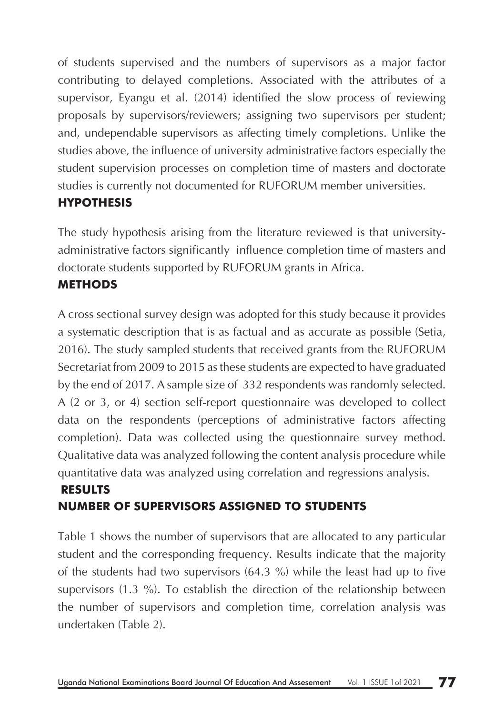of students supervised and the numbers of supervisors as a major factor contributing to delayed completions. Associated with the attributes of a supervisor, Eyangu et al. (2014) identified the slow process of reviewing proposals by supervisors/reviewers; assigning two supervisors per student; and, undependable supervisors as affecting timely completions. Unlike the studies above, the influence of university administrative factors especially the student supervision processes on completion time of masters and doctorate studies is currently not documented for RUFORUM member universities.

## **HYPOTHESIS**

The study hypothesis arising from the literature reviewed is that universityadministrative factors significantly influence completion time of masters and doctorate students supported by RUFORUM grants in Africa.

### **METHODS**

A cross sectional survey design was adopted for this study because it provides a systematic description that is as factual and as accurate as possible (Setia, 2016). The study sampled students that received grants from the RUFORUM Secretariat from 2009 to 2015 as these students are expected to have graduated by the end of 2017. A sample size of 332 respondents was randomly selected. A (2 or 3, or 4) section self-report questionnaire was developed to collect data on the respondents (perceptions of administrative factors affecting completion). Data was collected using the questionnaire survey method. Qualitative data was analyzed following the content analysis procedure while quantitative data was analyzed using correlation and regressions analysis.

# **RESULTS NUMBER OF SUPERVISORS ASSIGNED TO STUDENTS**

Table 1 shows the number of supervisors that are allocated to any particular student and the corresponding frequency. Results indicate that the majority of the students had two supervisors (64.3 %) while the least had up to five supervisors (1.3 %). To establish the direction of the relationship between the number of supervisors and completion time, correlation analysis was undertaken (Table 2).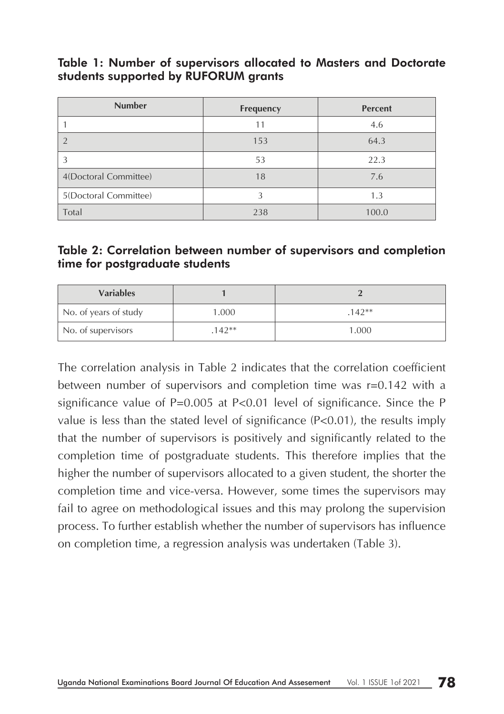#### Table 1: Number of supervisors allocated to Masters and Doctorate students supported by RUFORUM grants

| <b>Number</b>         | Frequency | <b>Percent</b> |
|-----------------------|-----------|----------------|
|                       | 11        | 4.6            |
|                       | 153       | 64.3           |
| 3                     | 53        | 22.3           |
| 4(Doctoral Committee) | 18        | 7.6            |
| 5(Doctoral Committee) |           | 1.3            |
| Total                 | 238       | 100.0          |

### Table 2: Correlation between number of supervisors and completion time for postgraduate students

| <b>Variables</b>      |         |         |
|-----------------------|---------|---------|
| No. of years of study | 1.000   | $142**$ |
| No. of supervisors    | $142**$ | 1.000   |

The correlation analysis in Table 2 indicates that the correlation coefficient between number of supervisors and completion time was r=0.142 with a significance value of  $P=0.005$  at  $P<0.01$  level of significance. Since the P value is less than the stated level of significance (P<0.01), the results imply that the number of supervisors is positively and significantly related to the completion time of postgraduate students. This therefore implies that the higher the number of supervisors allocated to a given student, the shorter the completion time and vice-versa. However, some times the supervisors may fail to agree on methodological issues and this may prolong the supervision process. To further establish whether the number of supervisors has influence on completion time, a regression analysis was undertaken (Table 3).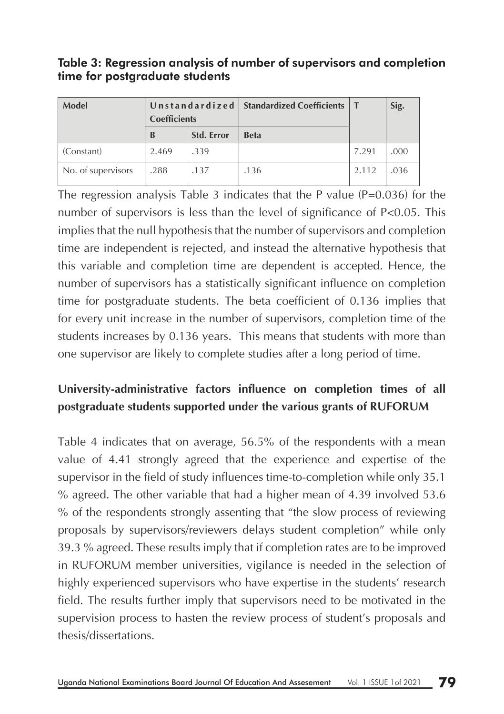Table 3: Regression analysis of number of supervisors and completion time for postgraduate students

| Model              | <b>Coefficients</b> |                   | Unstandardized   Standardized Coefficients |       | Sig. |  |
|--------------------|---------------------|-------------------|--------------------------------------------|-------|------|--|
|                    | <sup>B</sup>        | <b>Std. Error</b> | <b>Beta</b>                                |       |      |  |
| (Constant)         | 2.469               | .339              |                                            | 7.291 | .000 |  |
| No. of supervisors | .288                | .137              | .136                                       | 2.112 | .036 |  |

The regression analysis Table 3 indicates that the P value ( $P=0.036$ ) for the number of supervisors is less than the level of significance of P<0.05. This implies that the null hypothesis that the number of supervisors and completion time are independent is rejected, and instead the alternative hypothesis that this variable and completion time are dependent is accepted. Hence, the number of supervisors has a statistically significant influence on completion time for postgraduate students. The beta coefficient of 0.136 implies that for every unit increase in the number of supervisors, completion time of the students increases by 0.136 years. This means that students with more than one supervisor are likely to complete studies after a long period of time.

# **University-administrative factors influence on completion times of all postgraduate students supported under the various grants of RUFORUM**

Table 4 indicates that on average, 56.5% of the respondents with a mean value of 4.41 strongly agreed that the experience and expertise of the supervisor in the field of study influences time-to-completion while only 35.1 % agreed. The other variable that had a higher mean of 4.39 involved 53.6 % of the respondents strongly assenting that "the slow process of reviewing proposals by supervisors/reviewers delays student completion" while only 39.3 % agreed. These results imply that if completion rates are to be improved in RUFORUM member universities, vigilance is needed in the selection of highly experienced supervisors who have expertise in the students' research field. The results further imply that supervisors need to be motivated in the supervision process to hasten the review process of student's proposals and thesis/dissertations.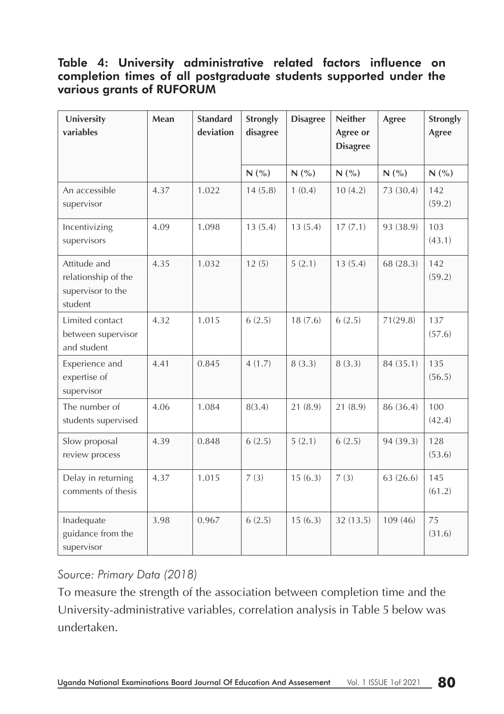### Table 4: University administrative related factors influence on completion times of all postgraduate students supported under the various grants of RUFORUM

| University<br>variables                                             | Mean | <b>Standard</b><br>deviation | Strongly<br>disagree | <b>Disagree</b> |           | Agree     | Strongly<br>Agree |
|---------------------------------------------------------------------|------|------------------------------|----------------------|-----------------|-----------|-----------|-------------------|
|                                                                     |      |                              | N(%)                 | N(%)            | N(%)      | N(%)      | N(%)              |
| An accessible<br>supervisor                                         | 4.37 | 1.022                        | 14(5.8)              | 1(0.4)          | 10(4.2)   | 73 (30.4) | 142<br>(59.2)     |
| Incentivizing<br>supervisors                                        | 4.09 | 1.098                        | 13(5.4)              | 13(5.4)         | 17(7.1)   | 93 (38.9) | 103<br>(43.1)     |
| Attitude and<br>relationship of the<br>supervisor to the<br>student | 4.35 | 1.032                        | 12(5)                | 5(2.1)          | 13(5.4)   | 68 (28.3) | 142<br>(59.2)     |
| Limited contact<br>between supervisor<br>and student                | 4.32 | 1.015                        | 6(2.5)               | 18(7.6)         | 6(2.5)    | 71(29.8)  | 137<br>(57.6)     |
| Experience and<br>expertise of<br>supervisor                        | 4.41 | 0.845                        | 4(1.7)               | 8(3.3)          | 8(3.3)    | 84 (35.1) | 135<br>(56.5)     |
| The number of<br>students supervised                                | 4.06 | 1.084                        | 8(3.4)               | 21(8.9)         | 21(8.9)   | 86 (36.4) | 100<br>(42.4)     |
| Slow proposal<br>review process                                     | 4.39 | 0.848                        | 6(2.5)               | 5(2.1)          | 6(2.5)    | 94 (39.3) | 128<br>(53.6)     |
| Delay in returning<br>comments of thesis                            | 4.37 | 1.015                        | 7(3)                 | 15(6.3)         | 7(3)      | 63(26.6)  | 145<br>(61.2)     |
| Inadequate<br>guidance from the<br>supervisor                       | 3.98 | 0.967                        | 6(2.5)               | 15(6.3)         | 32 (13.5) | 109(46)   | 75<br>(31.6)      |

## *Source: Primary Data (2018)*

To measure the strength of the association between completion time and the University-administrative variables, correlation analysis in Table 5 below was undertaken.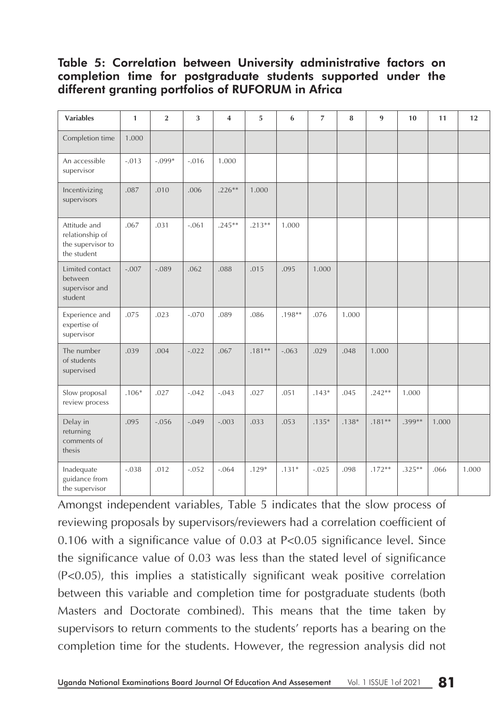#### Table 5: Correlation between University administrative factors on completion time for postgraduate students supported under the different granting portfolios of RUFORUM in Africa

| <b>Variables</b>                                                    | $\mathbf{1}$ | $\overline{2}$ | 3       | $\overline{\mathbf{4}}$ | 5        | 6        | $\overline{7}$ | 8       | 9        | 10       | 11    | 12    |
|---------------------------------------------------------------------|--------------|----------------|---------|-------------------------|----------|----------|----------------|---------|----------|----------|-------|-------|
| Completion time                                                     | 1.000        |                |         |                         |          |          |                |         |          |          |       |       |
| An accessible<br>supervisor                                         | $-.013$      | $-.099*$       | $-.016$ | 1.000                   |          |          |                |         |          |          |       |       |
| Incentivizing<br>supervisors                                        | .087         | .010           | .006    | $.226**$                | 1.000    |          |                |         |          |          |       |       |
| Attitude and<br>relationship of<br>the supervisor to<br>the student | .067         | .031           | $-.061$ | $.245**$                | $.213**$ | 1.000    |                |         |          |          |       |       |
| Limited contact<br>between<br>supervisor and<br>student             | $-.007$      | $-.089$        | .062    | .088                    | .015     | .095     | 1.000          |         |          |          |       |       |
| Experience and<br>expertise of<br>supervisor                        | .075         | .023           | $-.070$ | .089                    | .086     | $.198**$ | .076           | 1.000   |          |          |       |       |
| The number<br>of students<br>supervised                             | .039         | .004           | $-.022$ | .067                    | $.181**$ | $-.063$  | .029           | .048    | 1.000    |          |       |       |
| Slow proposal<br>review process                                     | $.106*$      | .027           | $-.042$ | $-.043$                 | .027     | .051     | $.143*$        | .045    | $.242**$ | 1.000    |       |       |
| Delay in<br>returning<br>comments of<br>thesis                      | .095         | $-.056$        | $-.049$ | $-.003$                 | .033     | .053     | $.135*$        | $.138*$ | $.181**$ | .399**   | 1.000 |       |
| Inadequate<br>guidance from<br>the supervisor                       | $-.038$      | .012           | $-.052$ | $-.064$                 | $.129*$  | $.131*$  | $-.025$        | .098    | $.172**$ | $.325**$ | .066  | 1.000 |

Amongst independent variables, Table 5 indicates that the slow process of reviewing proposals by supervisors/reviewers had a correlation coefficient of 0.106 with a significance value of 0.03 at P<0.05 significance level. Since the significance value of 0.03 was less than the stated level of significance (P<0.05), this implies a statistically significant weak positive correlation between this variable and completion time for postgraduate students (both Masters and Doctorate combined). This means that the time taken by supervisors to return comments to the students' reports has a bearing on the completion time for the students. However, the regression analysis did not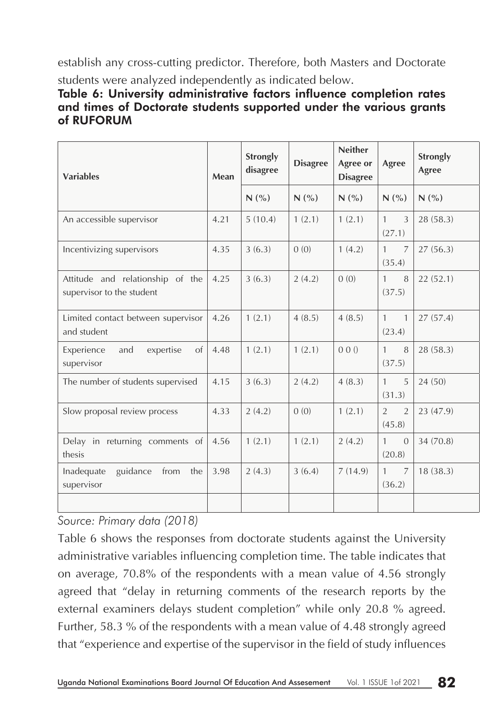establish any cross-cutting predictor. Therefore, both Masters and Doctorate students were analyzed independently as indicated below.

### Table 6: University administrative factors influence completion rates and times of Doctorate students supported under the various grants of RUFORUM

| <b>Variables</b>                                              | Mean | <b>Strongly</b><br>disagree | <b>Disagree</b> | <b>Neither</b><br>Agree or<br><b>Disagree</b> | Agree                                      | Strongly<br>Agree |
|---------------------------------------------------------------|------|-----------------------------|-----------------|-----------------------------------------------|--------------------------------------------|-------------------|
|                                                               |      | N(%                         | N(%             | N(%                                           | N(%                                        | N(%)              |
| An accessible supervisor                                      | 4.21 | 5(10.4)                     | 1(2.1)          | 1(2.1)                                        | $\mathbf{1}$<br>3<br>(27.1)                | 28 (58.3)         |
| Incentivizing supervisors                                     | 4.35 | 3(6.3)                      | 0(0)            | 1(4.2)                                        | $\mathbf{1}$<br>$\overline{7}$<br>(35.4)   | 27(56.3)          |
| Attitude and relationship of the<br>supervisor to the student | 4.25 | 3(6.3)                      | 2(4.2)          | (0)                                           | $\mathbf{1}$<br>8<br>(37.5)                | 22(52.1)          |
| Limited contact between supervisor<br>and student             | 4.26 | 1(2.1)                      | 4(8.5)          | 4(8.5)                                        | $\mathbf{1}$<br>$\overline{1}$<br>(23.4)   | 27(57.4)          |
| Experience<br>expertise<br>of<br>and<br>supervisor            | 4.48 | 1(2.1)                      | 1(2.1)          | 00()                                          | $\mathbf{1}$<br>8<br>(37.5)                | 28 (58.3)         |
| The number of students supervised                             | 4.15 | 3(6.3)                      | 2(4.2)          | 4(8.3)                                        | $\mathbf{1}$<br>5<br>(31.3)                | 24(50)            |
| Slow proposal review process                                  | 4.33 | 2(4.2)                      | 0(0)            | 1(2.1)                                        | $\overline{2}$<br>$\overline{2}$<br>(45.8) | 23 (47.9)         |
| Delay in returning comments of<br>thesis                      | 4.56 | 1(2.1)                      | 1(2.1)          | 2(4.2)                                        | $\mathbf{1}$<br>$\Omega$<br>(20.8)         | 34 (70.8)         |
| guidance<br>from<br>the<br>Inadequate<br>supervisor           | 3.98 | 2(4.3)                      | 3(6.4)          | 7(14.9)                                       | $\overline{7}$<br>$\mathbf{1}$<br>(36.2)   | 18(38.3)          |
|                                                               |      |                             |                 |                                               |                                            |                   |

*Source: Primary data (2018)* 

Table 6 shows the responses from doctorate students against the University administrative variables influencing completion time. The table indicates that on average, 70.8% of the respondents with a mean value of 4.56 strongly agreed that "delay in returning comments of the research reports by the external examiners delays student completion" while only 20.8 % agreed. Further, 58.3 % of the respondents with a mean value of 4.48 strongly agreed that "experience and expertise of the supervisor in the field of study influences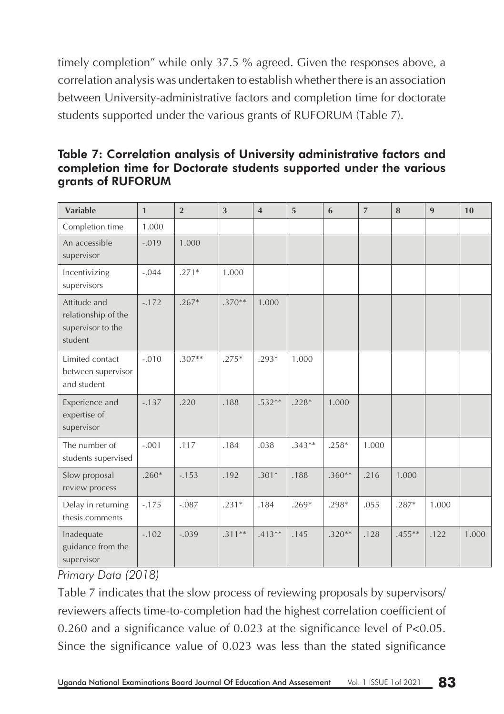timely completion" while only 37.5 % agreed. Given the responses above, a correlation analysis was undertaken to establish whether there is an association between University-administrative factors and completion time for doctorate students supported under the various grants of RUFORUM (Table 7).

| <b>Variable</b>                                                     | $\mathbf{1}$ | $\overline{2}$ | 3        | $\overline{4}$ | $\overline{5}$ | 6        | $\overline{7}$ | 8         | $\mathbf{q}$ | 10    |
|---------------------------------------------------------------------|--------------|----------------|----------|----------------|----------------|----------|----------------|-----------|--------------|-------|
| Completion time                                                     | 1.000        |                |          |                |                |          |                |           |              |       |
| An accessible<br>supervisor                                         | $-.019$      | 1.000          |          |                |                |          |                |           |              |       |
| Incentivizing<br>supervisors                                        | $-.044$      | $.271*$        | 1.000    |                |                |          |                |           |              |       |
| Attitude and<br>relationship of the<br>supervisor to the<br>student | $-172$       | $.267*$        | $.370**$ | 1.000          |                |          |                |           |              |       |
| Limited contact<br>between supervisor<br>and student                | $-.010$      | $.307**$       | $.275*$  | $.293*$        | 1.000          |          |                |           |              |       |
| Experience and<br>expertise of<br>supervisor                        | $-.137$      | .220           | .188     | $.532**$       | $.228*$        | 1.000    |                |           |              |       |
| The number of<br>students supervised                                | $-.001$      | .117           | .184     | .038           | $.343**$       | $.258*$  | 1.000          |           |              |       |
| Slow proposal<br>review process                                     | $.260*$      | $-153$         | .192     | $.301*$        | .188           | $.360**$ | .216           | 1.000     |              |       |
| Delay in returning<br>thesis comments                               | $-.175$      | $-.087$        | $.231*$  | .184           | $.269*$        | $.298*$  | .055           | $.287*$   | 1.000        |       |
| Inadequate<br>guidance from the<br>supervisor                       | $-.102$      | $-.039$        | $.311**$ | $.413**$       | .145           | $.320**$ | .128           | $.455***$ | .122         | 1.000 |

### Table 7: Correlation analysis of University administrative factors and completion time for Doctorate students supported under the various grants of RUFORUM

*Primary Data (2018)*

Table 7 indicates that the slow process of reviewing proposals by supervisors/ reviewers affects time-to-completion had the highest correlation coefficient of 0.260 and a significance value of 0.023 at the significance level of P<0.05. Since the significance value of 0.023 was less than the stated significance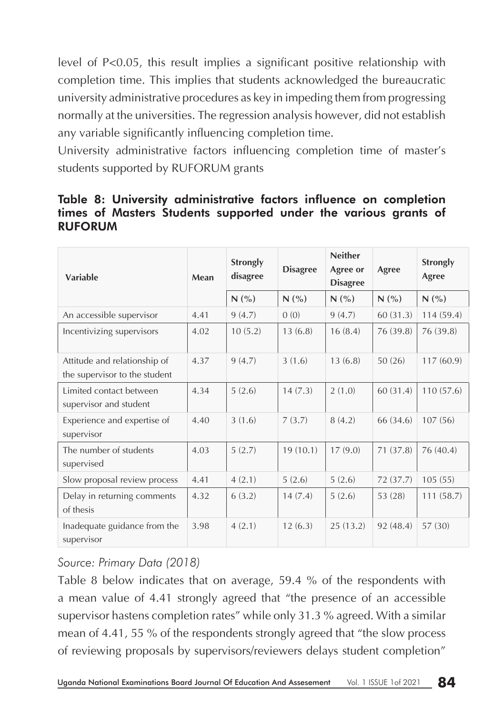level of P<0.05, this result implies a significant positive relationship with completion time. This implies that students acknowledged the bureaucratic university administrative procedures as key in impeding them from progressing normally at the universities. The regression analysis however, did not establish any variable significantly influencing completion time.

University administrative factors influencing completion time of master's students supported by RUFORUM grants

#### Table 8: University administrative factors influence on completion times of Masters Students supported under the various grants of RUFORUM

| Variable                                                      | Mean | <b>Strongly</b><br>disagree | <b>Disagree</b> | <b>Neither</b><br>Agree or<br><b>Disagree</b> | Agree     | <b>Strongly</b><br>Agree |
|---------------------------------------------------------------|------|-----------------------------|-----------------|-----------------------------------------------|-----------|--------------------------|
|                                                               |      | N(%                         | N(%             | N(%                                           | N(%       | N(%                      |
| An accessible supervisor                                      | 4.41 | 9(4.7)                      | 0(0)            | 9(4.7)                                        | 60(31.3)  | 114(59.4)                |
| Incentivizing supervisors                                     | 4.02 | 10(5.2)                     | 13(6.8)         | 16(8.4)                                       | 76 (39.8) | 76 (39.8)                |
| Attitude and relationship of<br>the supervisor to the student | 4.37 | 9(4.7)                      | 3(1.6)          | 13(6.8)                                       | 50(26)    | 117(60.9)                |
| Limited contact between<br>supervisor and student             | 4.34 | 5(2.6)                      | 14(7.3)         | 2(1.0)                                        | 60(31.4)  | 110(57.6)                |
| Experience and expertise of<br>supervisor                     | 4.40 | 3(1.6)                      | 7(3.7)          | 8(4.2)                                        | 66 (34.6) | 107(56)                  |
| The number of students<br>supervised                          | 4.03 | 5(2.7)                      | 19(10.1)        | 17(9.0)                                       | 71(37.8)  | 76 (40.4)                |
| Slow proposal review process                                  | 4.41 | 4(2.1)                      | 5(2.6)          | 5(2.6)                                        | 72 (37.7) | 105(55)                  |
| Delay in returning comments<br>of thesis                      | 4.32 | 6(3.2)                      | 14(7.4)         | 5(2.6)                                        | 53 (28)   | 111(58.7)                |
| Inadequate guidance from the<br>supervisor                    | 3.98 | 4(2.1)                      | 12(6.3)         | 25(13.2)                                      | 92(48.4)  | 57 (30)                  |

## *Source: Primary Data (2018)*

Table 8 below indicates that on average, 59.4 % of the respondents with a mean value of 4.41 strongly agreed that "the presence of an accessible supervisor hastens completion rates" while only 31.3 % agreed. With a similar mean of 4.41, 55 % of the respondents strongly agreed that "the slow process of reviewing proposals by supervisors/reviewers delays student completion"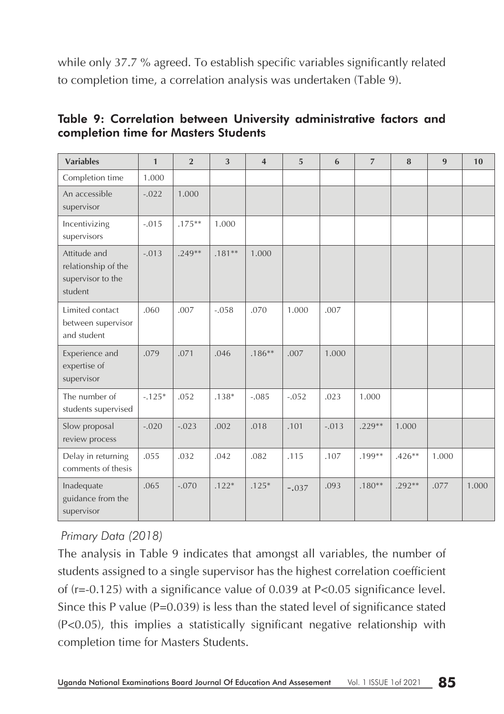while only 37.7 % agreed. To establish specific variables significantly related to completion time, a correlation analysis was undertaken (Table 9).

|  |                                      |  | Table 9: Correlation between University administrative factors and |  |
|--|--------------------------------------|--|--------------------------------------------------------------------|--|
|  | completion time for Masters Students |  |                                                                    |  |

| <b>Variables</b>                                                    | $\mathbf{1}$ | $\overline{2}$ | 3        | $\overline{\mathbf{4}}$ | 5       | 6       | $\overline{7}$ | 8        | 9     | 10    |
|---------------------------------------------------------------------|--------------|----------------|----------|-------------------------|---------|---------|----------------|----------|-------|-------|
| Completion time                                                     | 1.000        |                |          |                         |         |         |                |          |       |       |
| An accessible<br>supervisor                                         | $-.022$      | 1.000          |          |                         |         |         |                |          |       |       |
| Incentivizing<br>supervisors                                        | $-.015$      | $.175***$      | 1.000    |                         |         |         |                |          |       |       |
| Attitude and<br>relationship of the<br>supervisor to the<br>student | $-.013$      | $.249**$       | $.181**$ | 1.000                   |         |         |                |          |       |       |
| Limited contact<br>between supervisor<br>and student                | .060         | .007           | $-.058$  | .070                    | 1.000   | .007    |                |          |       |       |
| Experience and<br>expertise of<br>supervisor                        | .079         | .071           | .046     | $.186**$                | .007    | 1.000   |                |          |       |       |
| The number of<br>students supervised                                | $-.125*$     | .052           | $.138*$  | $-.085$                 | $-.052$ | .023    | 1.000          |          |       |       |
| Slow proposal<br>review process                                     | $-.020$      | $-.023$        | .002     | .018                    | .101    | $-.013$ | $.229**$       | 1.000    |       |       |
| Delay in returning<br>comments of thesis                            | .055         | .032           | .042     | .082                    | .115    | .107    | $.199**$       | $.426**$ | 1.000 |       |
| Inadequate<br>guidance from the<br>supervisor                       | .065         | $-.070$        | $.122*$  | $.125*$                 | $-.037$ | .093    | $.180**$       | $.292**$ | .077  | 1.000 |

## *Primary Data (2018)*

The analysis in Table 9 indicates that amongst all variables, the number of students assigned to a single supervisor has the highest correlation coefficient of (r=-0.125) with a significance value of 0.039 at P<0.05 significance level. Since this P value  $(P=0.039)$  is less than the stated level of significance stated (P<0.05), this implies a statistically significant negative relationship with completion time for Masters Students.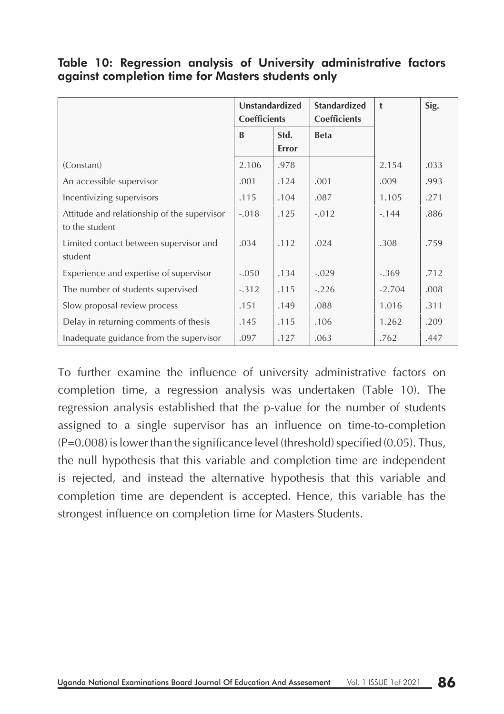|  |                                                   |  | Table 10: Regression analysis of University administrative factors |  |
|--|---------------------------------------------------|--|--------------------------------------------------------------------|--|
|  | against completion time for Masters students only |  |                                                                    |  |

|                                             | Unstandardized<br><b>Coefficients</b> |       | <b>Standardized</b><br><b>Coefficients</b> | $\ddagger$ | Sig. |
|---------------------------------------------|---------------------------------------|-------|--------------------------------------------|------------|------|
|                                             | $\mathbf{B}$                          | Std.  | <b>Beta</b>                                |            |      |
|                                             |                                       | Error |                                            |            |      |
| (Constant)                                  | 2.106                                 | .978  |                                            | 2.154      | .033 |
| An accessible supervisor                    | .001                                  | .124  | .001                                       | .009       | .993 |
| Incentivizing supervisors                   | .115                                  | .104  | .087                                       | 1.105      | .271 |
| Attitude and relationship of the supervisor | $-.018$                               | .125  | $-.012$                                    | $-144$     | .886 |
| to the student                              |                                       |       |                                            |            |      |
| Limited contact between supervisor and      | .034                                  | .112  | .024                                       | .308       | .759 |
| student                                     |                                       |       |                                            |            |      |
| Experience and expertise of supervisor      | $-.050$                               | .134  | $-.029$                                    | $-.369$    | .712 |
| The number of students supervised           | $-.312$                               | .115  | $-.226$                                    | $-2.704$   | .008 |
| Slow proposal review process                | .151                                  | .149  | .088                                       | 1.016      | .311 |
| Delay in returning comments of thesis       | .145                                  | .115  | .106                                       | 1.262      | .209 |
| Inadequate guidance from the supervisor     | .097                                  | .127  | .063                                       | .762       | .447 |

To further examine the influence of university administrative factors on completion time, a regression analysis was undertaken (Table 10). The regression analysis established that the p-value for the number of students assigned to a single supervisor has an influence on time-to-completion (P=0.008) is lower than the significance level (threshold) specified (0.05). Thus, the null hypothesis that this variable and completion time are independent is rejected, and instead the alternative hypothesis that this variable and completion time are dependent is accepted. Hence, this variable has the strongest influence on completion time for Masters Students.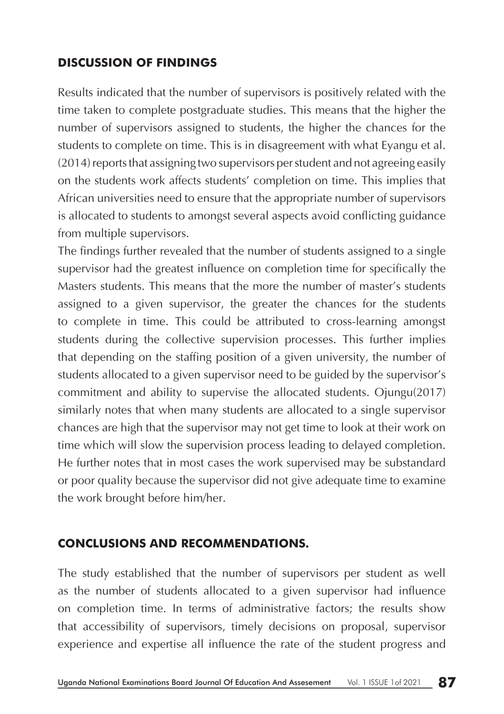## **DISCUSSION OF FINDINGS**

Results indicated that the number of supervisors is positively related with the time taken to complete postgraduate studies. This means that the higher the number of supervisors assigned to students, the higher the chances for the students to complete on time. This is in disagreement with what Eyangu et al. (2014) reports that assigning two supervisors per student and not agreeing easily on the students work affects students' completion on time. This implies that African universities need to ensure that the appropriate number of supervisors is allocated to students to amongst several aspects avoid conflicting guidance from multiple supervisors.

The findings further revealed that the number of students assigned to a single supervisor had the greatest influence on completion time for specifically the Masters students. This means that the more the number of master's students assigned to a given supervisor, the greater the chances for the students to complete in time. This could be attributed to cross-learning amongst students during the collective supervision processes. This further implies that depending on the staffing position of a given university, the number of students allocated to a given supervisor need to be guided by the supervisor's commitment and ability to supervise the allocated students. Ojungu(2017) similarly notes that when many students are allocated to a single supervisor chances are high that the supervisor may not get time to look at their work on time which will slow the supervision process leading to delayed completion. He further notes that in most cases the work supervised may be substandard or poor quality because the supervisor did not give adequate time to examine the work brought before him/her.

### **CONCLUSIONS AND RECOMMENDATIONS.**

The study established that the number of supervisors per student as well as the number of students allocated to a given supervisor had influence on completion time. In terms of administrative factors; the results show that accessibility of supervisors, timely decisions on proposal, supervisor experience and expertise all influence the rate of the student progress and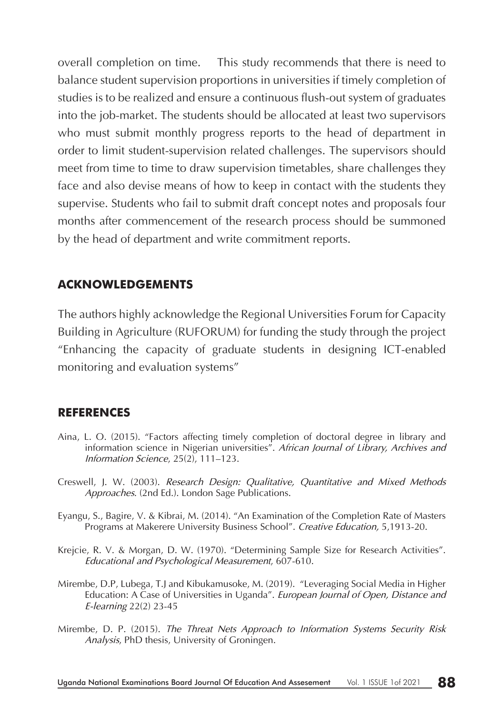overall completion on time. This study recommends that there is need to balance student supervision proportions in universities if timely completion of studies is to be realized and ensure a continuous flush-out system of graduates into the job-market. The students should be allocated at least two supervisors who must submit monthly progress reports to the head of department in order to limit student-supervision related challenges. The supervisors should meet from time to time to draw supervision timetables, share challenges they face and also devise means of how to keep in contact with the students they supervise. Students who fail to submit draft concept notes and proposals four months after commencement of the research process should be summoned by the head of department and write commitment reports.

### **ACKNOWLEDGEMENTS**

The authors highly acknowledge the Regional Universities Forum for Capacity Building in Agriculture (RUFORUM) for funding the study through the project "Enhancing the capacity of graduate students in designing ICT-enabled monitoring and evaluation systems"

### **REFERENCES**

- Aina, L. O. (2015). "Factors affecting timely completion of doctoral degree in library and information science in Nigerian universities". *African Journal of Library, Archives and Information Science*, 25(2), 111–123.
- Creswell, J. W. (2003). *Research Design: Qualitative, Quantitative and Mixed Methods Approaches*. (2nd Ed.). London Sage Publications.
- Eyangu, S., Bagire, V. & Kibrai, M. (2014). "An Examination of the Completion Rate of Masters Programs at Makerere University Business School". *Creative Education,* 5,1913-20.
- Krejcie, R. V. & Morgan, D. W. (1970). "Determining Sample Size for Research Activities". *Educational and Psychological Measurement*, 607-610.
- Mirembe, D.P, Lubega, T.J and Kibukamusoke, M. (2019). "Leveraging Social Media in Higher Education: A Case of Universities in Uganda". *European Journal of Open, Distance and E-learning* 22(2) 23-45
- Mirembe, D. P. (2015). *The Threat Nets Approach to Information Systems Security Risk Analysis*, PhD thesis, University of Groningen.